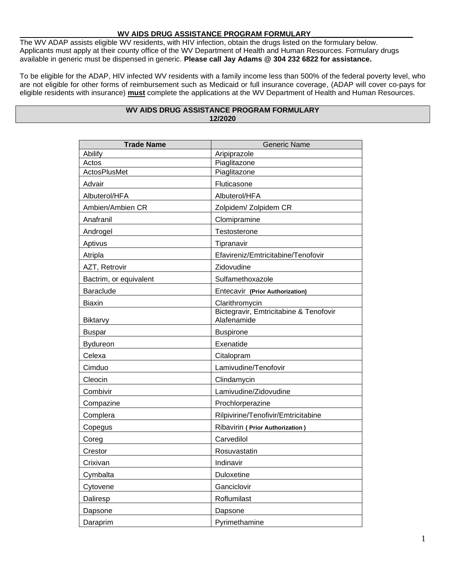## **WV AIDS DRUG ASSISTANCE PROGRAM FORMULARY\_\_\_\_\_\_\_\_\_\_\_\_\_\_\_\_\_\_\_\_\_\_\_\_\_**

The WV ADAP assists eligible WV residents, with HIV infection, obtain the drugs listed on the formulary below. Applicants must apply at their county office of the WV Department of Health and Human Resources. Formulary drugs available in generic must be dispensed in generic. **Please call Jay Adams @ 304 232 6822 for assistance.**

To be eligible for the ADAP, HIV infected WV residents with a family income less than 500% of the federal poverty level, who are not eligible for other forms of reimbursement such as Medicaid or full insurance coverage, (ADAP will cover co-pays for eligible residents with insurance) **must** complete the applications at the WV Department of Health and Human Resources.

| <b>Trade Name</b>      | <b>Generic Name</b>                                   |
|------------------------|-------------------------------------------------------|
| Abilify                | Aripiprazole                                          |
| Actos                  | Piaglitazone                                          |
| <b>ActosPlusMet</b>    | Piaglitazone                                          |
| Advair                 | Fluticasone                                           |
| Albuterol/HFA          | Albuterol/HFA                                         |
| Ambien/Ambien CR       | Zolpidem/ Zolpidem CR                                 |
| Anafranil              | Clomipramine                                          |
| Androgel               | Testosterone                                          |
| Aptivus                | Tipranavir                                            |
| Atripla                | Efavireniz/Emtricitabine/Tenofovir                    |
| AZT, Retrovir          | Zidovudine                                            |
| Bactrim, or equivalent | Sulfamethoxazole                                      |
| <b>Baraclude</b>       | Entecavir (Prior Authorization)                       |
| <b>Biaxin</b>          | Clarithromycin                                        |
| <b>Biktarvy</b>        | Bictegravir, Emtricitabine & Tenofovir<br>Alafenamide |
| <b>Buspar</b>          | <b>Buspirone</b>                                      |
| <b>Bydureon</b>        | Exenatide                                             |
| Celexa                 | Citalopram                                            |
| Cimduo                 | Lamivudine/Tenofovir                                  |
| Cleocin                | Clindamycin                                           |
| Combivir               | Lamivudine/Zidovudine                                 |
| Compazine              | Prochlorperazine                                      |
| Complera               | Rilpivirine/Tenofivir/Emtricitabine                   |
| Copegus                | Ribavirin ( Prior Authorization )                     |
| Coreg                  | Carvedilol                                            |
| Crestor                | Rosuvastatin                                          |
| Crixivan               | Indinavir                                             |
| Cymbalta               | Duloxetine                                            |
| Cytovene               | Ganciclovir                                           |
| Daliresp               | Roflumilast                                           |
| Dapsone                | Dapsone                                               |
| Daraprim               | Pyrimethamine                                         |

## **WV AIDS DRUG ASSISTANCE PROGRAM FORMULARY 12/2020**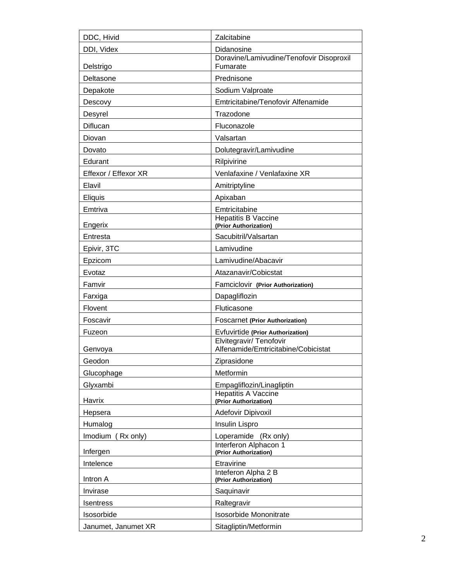| DDC, Hivid           | Zalcitabine                                                    |
|----------------------|----------------------------------------------------------------|
| DDI, Videx           | Didanosine                                                     |
| Delstrigo            | Doravine/Lamivudine/Tenofovir Disoproxil<br>Fumarate           |
| Deltasone            | Prednisone                                                     |
| Depakote             | Sodium Valproate                                               |
| Descovy              | Emtricitabine/Tenofovir Alfenamide                             |
| Desyrel              | Trazodone                                                      |
| Diflucan             | Fluconazole                                                    |
| Diovan               | Valsartan                                                      |
| Dovato               | Dolutegravir/Lamivudine                                        |
| Edurant              | Rilpivirine                                                    |
| Effexor / Effexor XR | Venlafaxine / Venlafaxine XR                                   |
| Elavil               | Amitriptyline                                                  |
| Eliquis              | Apixaban                                                       |
| Emtriva              | Emtricitabine                                                  |
| Engerix              | <b>Hepatitis B Vaccine</b><br>(Prior Authorization)            |
| Entresta             | Sacubitril/Valsartan                                           |
| Epivir, 3TC          | Lamivudine                                                     |
| Epzicom              | Lamivudine/Abacavir                                            |
| Evotaz               | Atazanavir/Cobicstat                                           |
| Famvir               | Famciclovir (Prior Authorization)                              |
| Farxiga              | Dapagliflozin                                                  |
| Flovent              | Fluticasone                                                    |
| Foscavir             | <b>Foscarnet (Prior Authorization)</b>                         |
| Fuzeon               | Evfuvirtide (Prior Authorization)                              |
|                      | Elvitegravir/ Tenofovir<br>Alfenamide/Emtricitabine/Cobicistat |
| Genvoya<br>Geodon    | Ziprasidone                                                    |
| Glucophage           | Metformin                                                      |
| Glyxambi             | Empagliflozin/Linagliptin                                      |
|                      | <b>Hepatitis A Vaccine</b>                                     |
| Havrix               | (Prior Authorization)                                          |
| Hepsera              | Adefovir Dipivoxil                                             |
| Humalog              | Insulin Lispro                                                 |
| Imodium<br>(Rx only) | Loperamide (Rx only)<br>Interferon Alphacon 1                  |
| Infergen             | (Prior Authorization)                                          |
| Intelence            | Etravirine                                                     |
| Intron A             | Inteferon Alpha 2 B<br>(Prior Authorization)                   |
| Invirase             | Saquinavir                                                     |
| <b>Isentress</b>     | Raltegravir                                                    |
| Isosorbide           | <b>Isosorbide Mononitrate</b>                                  |
| Janumet, Janumet XR  | Sitagliptin/Metformin                                          |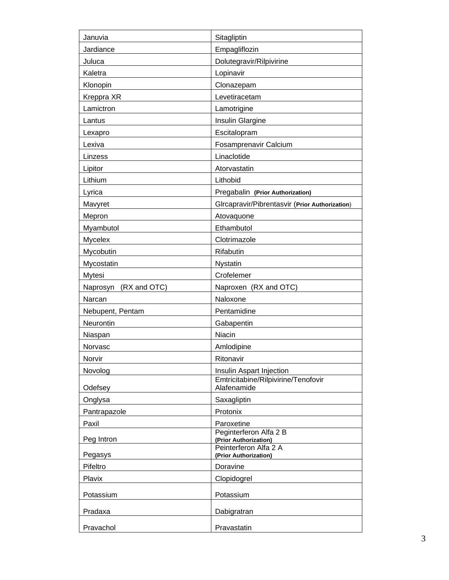| Januvia               | Sitagliptin                                        |
|-----------------------|----------------------------------------------------|
| Jardiance             | Empagliflozin                                      |
| Juluca                | Dolutegravir/Rilpivirine                           |
| Kaletra               | Lopinavir                                          |
| Klonopin              | Clonazepam                                         |
| Kreppra XR            | Levetiracetam                                      |
| Lamictron             | Lamotrigine                                        |
| Lantus                | Insulin Glargine                                   |
| Lexapro               | Escitalopram                                       |
| Lexiva                | Fosamprenavir Calcium                              |
| Linzess               | Linaclotide                                        |
| Lipitor               | Atorvastatin                                       |
| Lithium               | Lithobid                                           |
| Lyrica                | Pregabalin (Prior Authorization)                   |
| Mavyret               | GIrcapravir/Pibrentasvir (Prior Authorization)     |
| Mepron                | Atovaquone                                         |
| Myambutol             | Ethambutol                                         |
| Mycelex               | Clotrimazole                                       |
| Mycobutin             | Rifabutin                                          |
| Mycostatin            | Nystatin                                           |
| Mytesi                | Crofelemer                                         |
| Naprosyn (RX and OTC) | Naproxen (RX and OTC)                              |
| Narcan                | Naloxone                                           |
| Nebupent, Pentam      | Pentamidine                                        |
| Neurontin             | Gabapentin                                         |
| Niaspan               | Niacin                                             |
| Norvasc               | Amlodipine                                         |
| Norvir                | Ritonavir                                          |
| Novolog               | Insulin Aspart Injection                           |
| Odefsey               | Emtricitabine/Rilpivirine/Tenofovir<br>Alafenamide |
| Onglysa               | Saxagliptin                                        |
| Pantrapazole          | Protonix                                           |
| Paxil                 | Paroxetine                                         |
| Peg Intron            | Peginterferon Alfa 2 B<br>(Prior Authorization)    |
| Pegasys               | Peinterferon Alfa 2 A<br>(Prior Authorization)     |
| Pifeltro              | Doravine                                           |
| Plavix                | Clopidogrel                                        |
| Potassium             |                                                    |
|                       | Potassium                                          |
| Pradaxa               | Dabigratran                                        |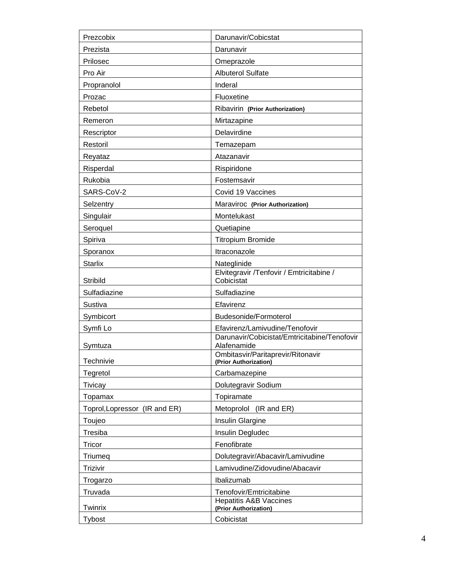| Prezcobix                     | Darunavir/Cobicstat                                         |
|-------------------------------|-------------------------------------------------------------|
| Prezista                      | Darunavir                                                   |
| Prilosec                      | Omeprazole                                                  |
| Pro Air                       | <b>Albuterol Sulfate</b>                                    |
| Propranolol                   | Inderal                                                     |
| Prozac                        | Fluoxetine                                                  |
| Rebetol                       | Ribavirin (Prior Authorization)                             |
| Remeron                       | Mirtazapine                                                 |
| Rescriptor                    | Delavirdine                                                 |
| Restoril                      | Temazepam                                                   |
| Reyataz                       | Atazanavir                                                  |
| Risperdal                     | Rispiridone                                                 |
| Rukobia                       | Fostemsavir                                                 |
| SARS-CoV-2                    | Covid 19 Vaccines                                           |
| Selzentry                     | Maraviroc (Prior Authorization)                             |
| Singulair                     | Montelukast                                                 |
| Seroquel                      | Quetiapine                                                  |
| Spiriva                       | <b>Titropium Bromide</b>                                    |
| Sporanox                      | Itraconazole                                                |
| <b>Starlix</b>                | Nateglinide                                                 |
| Stribild                      | Elvitegravir /Tenfovir / Emtricitabine /<br>Cobicistat      |
| Sulfadiazine                  | Sulfadiazine                                                |
| Sustiva                       | Efavirenz                                                   |
| Symbicort                     | Budesonide/Formoterol                                       |
| Symfi Lo                      | Efavirenz/Lamivudine/Tenofovir                              |
| Symtuza                       | Darunavir/Cobicistat/Emtricitabine/Tenofovir<br>Alafenamide |
| Technivie                     | Ombitasvir/Paritaprevir/Ritonavir<br>(Prior Authorization)  |
| Tegretol                      | Carbamazepine                                               |
| Tivicay                       | Dolutegravir Sodium                                         |
| Topamax                       | Topiramate                                                  |
| Toprol, Lopressor (IR and ER) | Metoprolol (IR and ER)                                      |
| Toujeo                        | Insulin Glargine                                            |
| Tresiba                       | Insulin Degludec                                            |
| Tricor                        | Fenofibrate                                                 |
| Triumeq                       | Dolutegravir/Abacavir/Lamivudine                            |
| Trizivir                      | Lamivudine/Zidovudine/Abacavir                              |
| Trogarzo                      | Ibalizumab                                                  |
| Truvada                       | Tenofovir/Emtricitabine                                     |
| Twinrix                       | <b>Hepatitis A&amp;B Vaccines</b><br>(Prior Authorization)  |
| Tybost                        | Cobicistat                                                  |